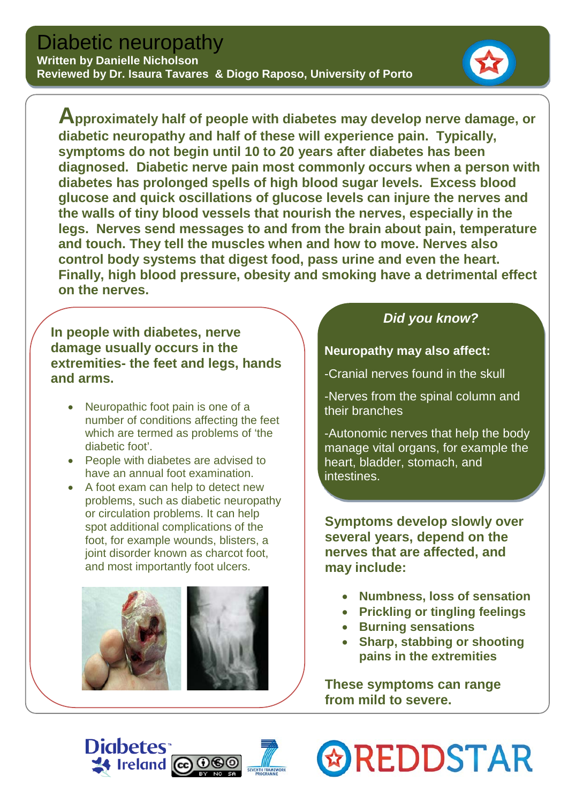#### **Written by Danielle Nicholson Reviewed by Dr. Isaura Tavares & Diogo Raposo, University of Porto**

**Approximately half of people with diabetes may develop nerve damage, or diabetic neuropathy and half of these will experience pain. Typically, symptoms do not begin until 10 to 20 years after diabetes has been diagnosed. Diabetic nerve pain most commonly occurs when a person with diabetes has prolonged spells of [high blood sugar levels.](http://www.diabetes.co.uk/diabetes_care/Diabetes_and_blood_glucose.html) Excess blood glucose and quick oscillations of glucose levels can injure the nerves and the walls of tiny blood vessels that nourish the nerves, especially in the legs. Nerves send messages to and from the brain about pain, temperature and touch. They tell the muscles when and how to move. Nerves also control body systems that digest food, pass urine and even the heart. Finally, high blood pressure, obesity and smoking have a detrimental effect on the nerves.** 

#### **In people with diabetes, nerve damage usually occurs in the extremities- the feet and legs, hands and arms.**

- Neuropathic foot pain is one of a number of conditions affecting the feet which are termed as problems of 'the diabetic foot'.
- People with diabetes are advised to have an annual foot examination.
- A foot exam can help to detect new problems, such as diabetic neuropathy or circulation problems. It can help spot additional complications of the foot, for example wounds, blisters, a joint disorder known as charcot foot. and most importantly foot ulcers.



### *Did you know?*

**Neuropathy may also affect:**

-Cranial nerves found in the skull

-Nerves from the spinal column and their branches

-Autonomic nerves that help the body manage vital organs, for example the heart, bladder, stomach, and intestines.

**Symptoms develop slowly over several years, depend on the nerves that are affected, and may include:**

- **Numbness, loss of sensation**
- **Prickling or tingling feelings**
- **Burning sensations**
- **Sharp, stabbing or shooting pains in the extremities**

**These symptoms can range from mild to severe.**

**& REDDSTAR**